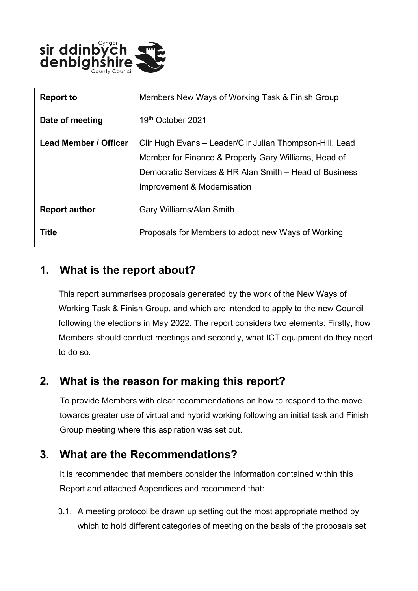

| <b>Report to</b>             | Members New Ways of Working Task & Finish Group                                                                  |
|------------------------------|------------------------------------------------------------------------------------------------------------------|
| Date of meeting              | 19 <sup>th</sup> October 2021                                                                                    |
| <b>Lead Member / Officer</b> | Cllr Hugh Evans – Leader/Cllr Julian Thompson-Hill, Lead<br>Member for Finance & Property Gary Williams, Head of |
|                              | Democratic Services & HR Alan Smith – Head of Business<br>Improvement & Modernisation                            |
| <b>Report author</b>         | <b>Gary Williams/Alan Smith</b>                                                                                  |
| <b>Title</b>                 | Proposals for Members to adopt new Ways of Working                                                               |

# **1. What is the report about?**

This report summarises proposals generated by the work of the New Ways of Working Task & Finish Group, and which are intended to apply to the new Council following the elections in May 2022. The report considers two elements: Firstly, how Members should conduct meetings and secondly, what ICT equipment do they need to do so.

## **2. What is the reason for making this report?**

To provide Members with clear recommendations on how to respond to the move towards greater use of virtual and hybrid working following an initial task and Finish Group meeting where this aspiration was set out.

## **3. What are the Recommendations?**

It is recommended that members consider the information contained within this Report and attached Appendices and recommend that:

3.1. A meeting protocol be drawn up setting out the most appropriate method by which to hold different categories of meeting on the basis of the proposals set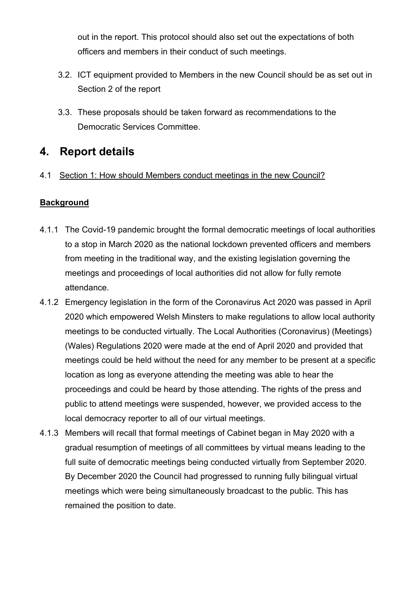out in the report. This protocol should also set out the expectations of both officers and members in their conduct of such meetings.

- 3.2. ICT equipment provided to Members in the new Council should be as set out in Section 2 of the report
- 3.3. These proposals should be taken forward as recommendations to the Democratic Services Committee.

# **4. Report details**

## 4.1 Section 1: How should Members conduct meetings in the new Council?

## **Background**

- 4.1.1 The Covid-19 pandemic brought the formal democratic meetings of local authorities to a stop in March 2020 as the national lockdown prevented officers and members from meeting in the traditional way, and the existing legislation governing the meetings and proceedings of local authorities did not allow for fully remote attendance.
- 4.1.2 Emergency legislation in the form of the Coronavirus Act 2020 was passed in April 2020 which empowered Welsh Minsters to make regulations to allow local authority meetings to be conducted virtually. The Local Authorities (Coronavirus) (Meetings) (Wales) Regulations 2020 were made at the end of April 2020 and provided that meetings could be held without the need for any member to be present at a specific location as long as everyone attending the meeting was able to hear the proceedings and could be heard by those attending. The rights of the press and public to attend meetings were suspended, however, we provided access to the local democracy reporter to all of our virtual meetings.
- 4.1.3 Members will recall that formal meetings of Cabinet began in May 2020 with a gradual resumption of meetings of all committees by virtual means leading to the full suite of democratic meetings being conducted virtually from September 2020. By December 2020 the Council had progressed to running fully bilingual virtual meetings which were being simultaneously broadcast to the public. This has remained the position to date.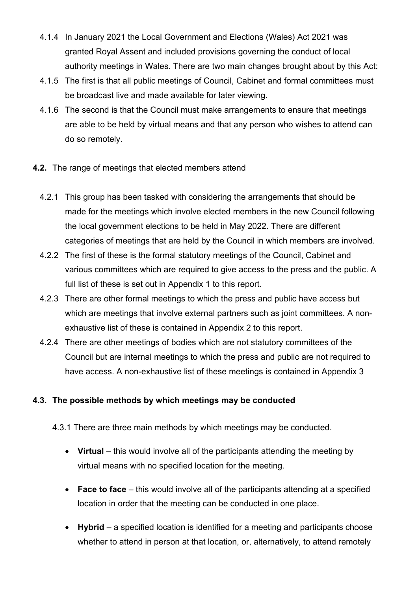- 4.1.4 In January 2021 the Local Government and Elections (Wales) Act 2021 was granted Royal Assent and included provisions governing the conduct of local authority meetings in Wales. There are two main changes brought about by this Act:
- 4.1.5 The first is that all public meetings of Council, Cabinet and formal committees must be broadcast live and made available for later viewing.
- 4.1.6 The second is that the Council must make arrangements to ensure that meetings are able to be held by virtual means and that any person who wishes to attend can do so remotely.
- **4.2.** The range of meetings that elected members attend
	- 4.2.1 This group has been tasked with considering the arrangements that should be made for the meetings which involve elected members in the new Council following the local government elections to be held in May 2022. There are different categories of meetings that are held by the Council in which members are involved.
	- 4.2.2 The first of these is the formal statutory meetings of the Council, Cabinet and various committees which are required to give access to the press and the public. A full list of these is set out in Appendix 1 to this report.
	- 4.2.3 There are other formal meetings to which the press and public have access but which are meetings that involve external partners such as joint committees. A nonexhaustive list of these is contained in Appendix 2 to this report.
	- 4.2.4 There are other meetings of bodies which are not statutory committees of the Council but are internal meetings to which the press and public are not required to have access. A non-exhaustive list of these meetings is contained in Appendix 3

### **4.3. The possible methods by which meetings may be conducted**

- 4.3.1 There are three main methods by which meetings may be conducted.
	- Virtual this would involve all of the participants attending the meeting by virtual means with no specified location for the meeting.
	- **Face to face** this would involve all of the participants attending at a specified location in order that the meeting can be conducted in one place.
	- **Hybrid** a specified location is identified for a meeting and participants choose whether to attend in person at that location, or, alternatively, to attend remotely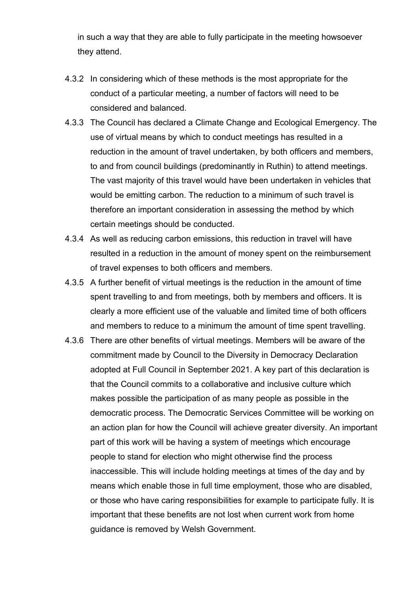in such a way that they are able to fully participate in the meeting howsoever they attend.

- 4.3.2 In considering which of these methods is the most appropriate for the conduct of a particular meeting, a number of factors will need to be considered and balanced.
- 4.3.3 The Council has declared a Climate Change and Ecological Emergency. The use of virtual means by which to conduct meetings has resulted in a reduction in the amount of travel undertaken, by both officers and members, to and from council buildings (predominantly in Ruthin) to attend meetings. The vast majority of this travel would have been undertaken in vehicles that would be emitting carbon. The reduction to a minimum of such travel is therefore an important consideration in assessing the method by which certain meetings should be conducted.
- 4.3.4 As well as reducing carbon emissions, this reduction in travel will have resulted in a reduction in the amount of money spent on the reimbursement of travel expenses to both officers and members.
- 4.3.5 A further benefit of virtual meetings is the reduction in the amount of time spent travelling to and from meetings, both by members and officers. It is clearly a more efficient use of the valuable and limited time of both officers and members to reduce to a minimum the amount of time spent travelling.
- 4.3.6 There are other benefits of virtual meetings. Members will be aware of the commitment made by Council to the Diversity in Democracy Declaration adopted at Full Council in September 2021. A key part of this declaration is that the Council commits to a collaborative and inclusive culture which makes possible the participation of as many people as possible in the democratic process. The Democratic Services Committee will be working on an action plan for how the Council will achieve greater diversity. An important part of this work will be having a system of meetings which encourage people to stand for election who might otherwise find the process inaccessible. This will include holding meetings at times of the day and by means which enable those in full time employment, those who are disabled, or those who have caring responsibilities for example to participate fully. It is important that these benefits are not lost when current work from home guidance is removed by Welsh Government.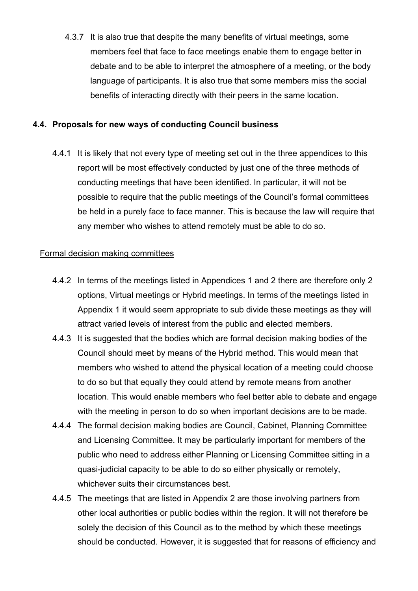4.3.7 It is also true that despite the many benefits of virtual meetings, some members feel that face to face meetings enable them to engage better in debate and to be able to interpret the atmosphere of a meeting, or the body language of participants. It is also true that some members miss the social benefits of interacting directly with their peers in the same location.

### **4.4. Proposals for new ways of conducting Council business**

4.4.1 It is likely that not every type of meeting set out in the three appendices to this report will be most effectively conducted by just one of the three methods of conducting meetings that have been identified. In particular, it will not be possible to require that the public meetings of the Council's formal committees be held in a purely face to face manner. This is because the law will require that any member who wishes to attend remotely must be able to do so.

### Formal decision making committees

- 4.4.2 In terms of the meetings listed in Appendices 1 and 2 there are therefore only 2 options, Virtual meetings or Hybrid meetings. In terms of the meetings listed in Appendix 1 it would seem appropriate to sub divide these meetings as they will attract varied levels of interest from the public and elected members.
- 4.4.3 It is suggested that the bodies which are formal decision making bodies of the Council should meet by means of the Hybrid method. This would mean that members who wished to attend the physical location of a meeting could choose to do so but that equally they could attend by remote means from another location. This would enable members who feel better able to debate and engage with the meeting in person to do so when important decisions are to be made.
- 4.4.4 The formal decision making bodies are Council, Cabinet, Planning Committee and Licensing Committee. It may be particularly important for members of the public who need to address either Planning or Licensing Committee sitting in a quasi-judicial capacity to be able to do so either physically or remotely, whichever suits their circumstances best.
- 4.4.5 The meetings that are listed in Appendix 2 are those involving partners from other local authorities or public bodies within the region. It will not therefore be solely the decision of this Council as to the method by which these meetings should be conducted. However, it is suggested that for reasons of efficiency and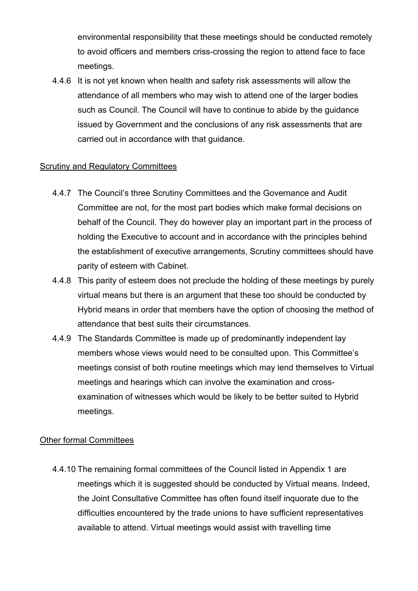environmental responsibility that these meetings should be conducted remotely to avoid officers and members criss-crossing the region to attend face to face meetings.

4.4.6 It is not yet known when health and safety risk assessments will allow the attendance of all members who may wish to attend one of the larger bodies such as Council. The Council will have to continue to abide by the guidance issued by Government and the conclusions of any risk assessments that are carried out in accordance with that guidance.

### Scrutiny and Regulatory Committees

- 4.4.7 The Council's three Scrutiny Committees and the Governance and Audit Committee are not, for the most part bodies which make formal decisions on behalf of the Council. They do however play an important part in the process of holding the Executive to account and in accordance with the principles behind the establishment of executive arrangements, Scrutiny committees should have parity of esteem with Cabinet.
- 4.4.8 This parity of esteem does not preclude the holding of these meetings by purely virtual means but there is an argument that these too should be conducted by Hybrid means in order that members have the option of choosing the method of attendance that best suits their circumstances.
- 4.4.9 The Standards Committee is made up of predominantly independent lay members whose views would need to be consulted upon. This Committee's meetings consist of both routine meetings which may lend themselves to Virtual meetings and hearings which can involve the examination and crossexamination of witnesses which would be likely to be better suited to Hybrid meetings.

### Other formal Committees

4.4.10 The remaining formal committees of the Council listed in Appendix 1 are meetings which it is suggested should be conducted by Virtual means. Indeed, the Joint Consultative Committee has often found itself inquorate due to the difficulties encountered by the trade unions to have sufficient representatives available to attend. Virtual meetings would assist with travelling time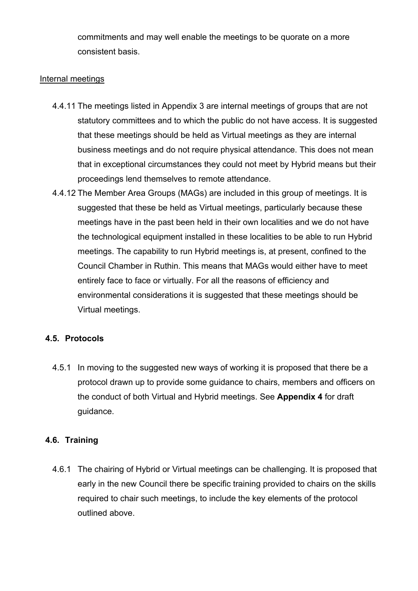commitments and may well enable the meetings to be quorate on a more consistent basis.

### Internal meetings

- 4.4.11 The meetings listed in Appendix 3 are internal meetings of groups that are not statutory committees and to which the public do not have access. It is suggested that these meetings should be held as Virtual meetings as they are internal business meetings and do not require physical attendance. This does not mean that in exceptional circumstances they could not meet by Hybrid means but their proceedings lend themselves to remote attendance.
- 4.4.12 The Member Area Groups (MAGs) are included in this group of meetings. It is suggested that these be held as Virtual meetings, particularly because these meetings have in the past been held in their own localities and we do not have the technological equipment installed in these localities to be able to run Hybrid meetings. The capability to run Hybrid meetings is, at present, confined to the Council Chamber in Ruthin. This means that MAGs would either have to meet entirely face to face or virtually. For all the reasons of efficiency and environmental considerations it is suggested that these meetings should be Virtual meetings.

### **4.5. Protocols**

4.5.1 In moving to the suggested new ways of working it is proposed that there be a protocol drawn up to provide some guidance to chairs, members and officers on the conduct of both Virtual and Hybrid meetings. See **Appendix 4** for draft guidance.

### **4.6. Training**

4.6.1 The chairing of Hybrid or Virtual meetings can be challenging. It is proposed that early in the new Council there be specific training provided to chairs on the skills required to chair such meetings, to include the key elements of the protocol outlined above.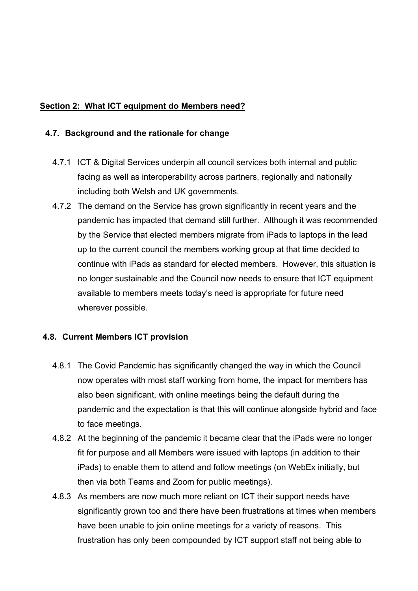### **Section 2: What ICT equipment do Members need?**

#### **4.7. Background and the rationale for change**

- 4.7.1 ICT & Digital Services underpin all council services both internal and public facing as well as interoperability across partners, regionally and nationally including both Welsh and UK governments.
- 4.7.2 The demand on the Service has grown significantly in recent years and the pandemic has impacted that demand still further. Although it was recommended by the Service that elected members migrate from iPads to laptops in the lead up to the current council the members working group at that time decided to continue with iPads as standard for elected members. However, this situation is no longer sustainable and the Council now needs to ensure that ICT equipment available to members meets today's need is appropriate for future need wherever possible.

### **4.8. Current Members ICT provision**

- 4.8.1 The Covid Pandemic has significantly changed the way in which the Council now operates with most staff working from home, the impact for members has also been significant, with online meetings being the default during the pandemic and the expectation is that this will continue alongside hybrid and face to face meetings.
- 4.8.2 At the beginning of the pandemic it became clear that the iPads were no longer fit for purpose and all Members were issued with laptops (in addition to their iPads) to enable them to attend and follow meetings (on WebEx initially, but then via both Teams and Zoom for public meetings).
- 4.8.3 As members are now much more reliant on ICT their support needs have significantly grown too and there have been frustrations at times when members have been unable to join online meetings for a variety of reasons. This frustration has only been compounded by ICT support staff not being able to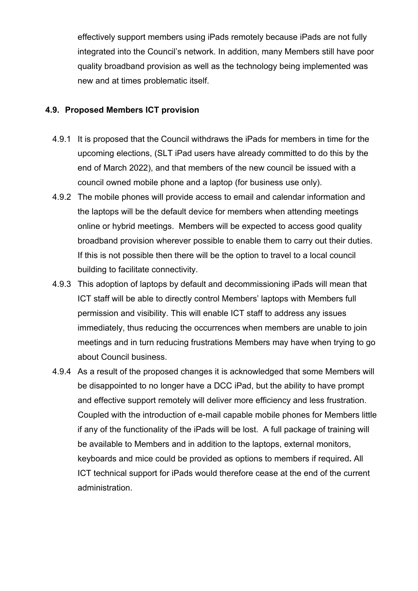effectively support members using iPads remotely because iPads are not fully integrated into the Council's network. In addition, many Members still have poor quality broadband provision as well as the technology being implemented was new and at times problematic itself.

### **4.9. Proposed Members ICT provision**

- 4.9.1 It is proposed that the Council withdraws the iPads for members in time for the upcoming elections, (SLT iPad users have already committed to do this by the end of March 2022), and that members of the new council be issued with a council owned mobile phone and a laptop (for business use only).
- 4.9.2 The mobile phones will provide access to email and calendar information and the laptops will be the default device for members when attending meetings online or hybrid meetings. Members will be expected to access good quality broadband provision wherever possible to enable them to carry out their duties. If this is not possible then there will be the option to travel to a local council building to facilitate connectivity.
- 4.9.3 This adoption of laptops by default and decommissioning iPads will mean that ICT staff will be able to directly control Members' laptops with Members full permission and visibility. This will enable ICT staff to address any issues immediately, thus reducing the occurrences when members are unable to join meetings and in turn reducing frustrations Members may have when trying to go about Council business.
- 4.9.4 As a result of the proposed changes it is acknowledged that some Members will be disappointed to no longer have a DCC iPad, but the ability to have prompt and effective support remotely will deliver more efficiency and less frustration. Coupled with the introduction of e-mail capable mobile phones for Members little if any of the functionality of the iPads will be lost. A full package of training will be available to Members and in addition to the laptops, external monitors, keyboards and mice could be provided as options to members if required**.** All ICT technical support for iPads would therefore cease at the end of the current administration.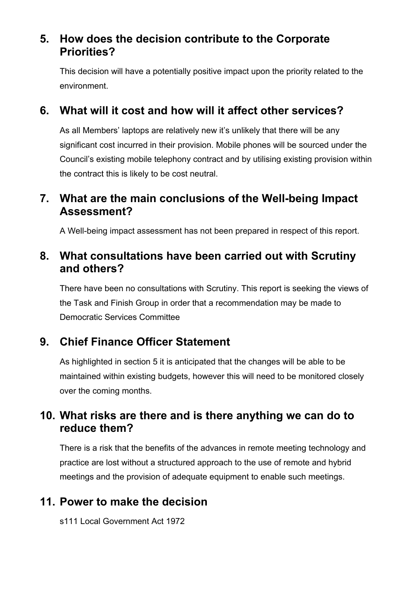# **5. How does the decision contribute to the Corporate Priorities?**

This decision will have a potentially positive impact upon the priority related to the environment.

# **6. What will it cost and how will it affect other services?**

As all Members' laptops are relatively new it's unlikely that there will be any significant cost incurred in their provision. Mobile phones will be sourced under the Council's existing mobile telephony contract and by utilising existing provision within the contract this is likely to be cost neutral.

# **7. What are the main conclusions of the Well-being Impact Assessment?**

A Well-being impact assessment has not been prepared in respect of this report.

# **8. What consultations have been carried out with Scrutiny and others?**

There have been no consultations with Scrutiny. This report is seeking the views of the Task and Finish Group in order that a recommendation may be made to Democratic Services Committee

# **9. Chief Finance Officer Statement**

As highlighted in section 5 it is anticipated that the changes will be able to be maintained within existing budgets, however this will need to be monitored closely over the coming months.

# **10. What risks are there and is there anything we can do to reduce them?**

There is a risk that the benefits of the advances in remote meeting technology and practice are lost without a structured approach to the use of remote and hybrid meetings and the provision of adequate equipment to enable such meetings.

# **11. Power to make the decision**

s111 Local Government Act 1972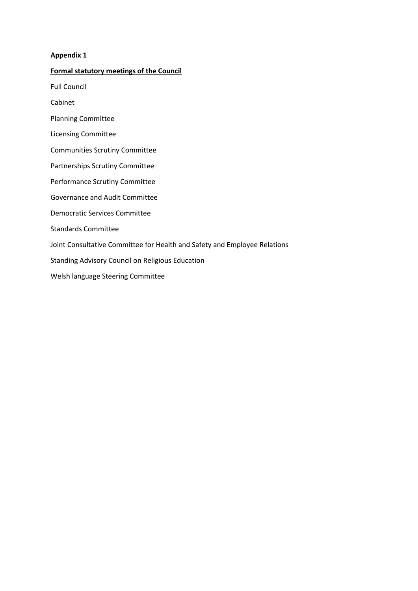#### **Appendix 1**

#### **Formal statutory meetings of the Council**

Full Council

Cabinet

- Planning Committee
- Licensing Committee
- Communities Scrutiny Committee
- Partnerships Scrutiny Committee
- Performance Scrutiny Committee
- Governance and Audit Committee
- Democratic Services Committee
- Standards Committee
- Joint Consultative Committee for Health and Safety and Employee Relations
- Standing Advisory Council on Religious Education
- Welsh language Steering Committee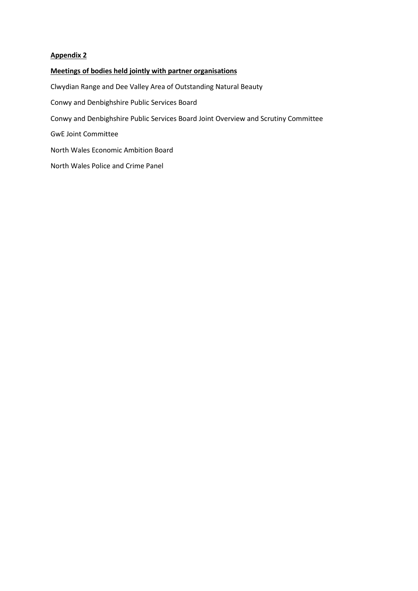#### **Appendix 2**

#### **Meetings of bodies held jointly with partner organisations**

Clwydian Range and Dee Valley Area of Outstanding Natural Beauty Conwy and Denbighshire Public Services Board Conwy and Denbighshire Public Services Board Joint Overview and Scrutiny Committee GwE Joint Committee North Wales Economic Ambition Board North Wales Police and Crime Panel